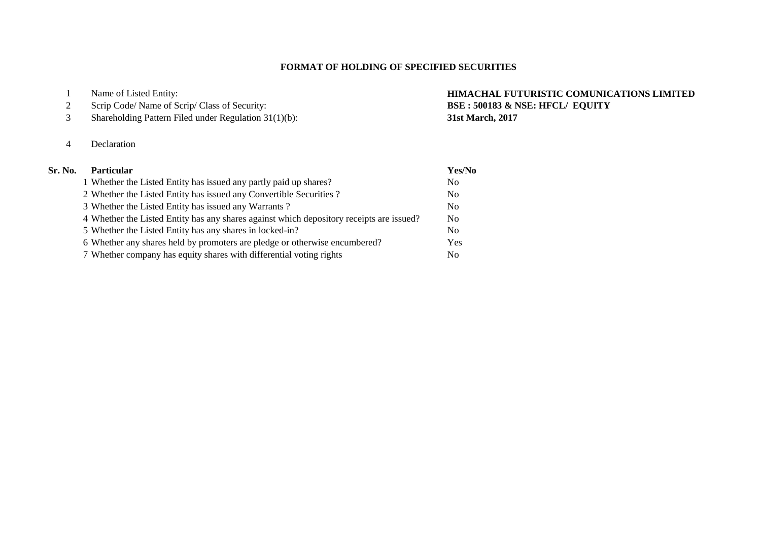# **FORMAT OF HOLDING OF SPECIFIED SECURITIES**

|  | Name of Listed Entity: |
|--|------------------------|
|--|------------------------|

- 2 Scrip Code/ Name of Scrip/ Class of Security:
- Shareholding Pattern Filed under Regulation 31(1)(b): **31st March, 2017**
- Declaration

# **HIMACHAL FUTURISTIC COMUNICATIONS LIMITED**<br>BSE : 500183 & NSE: HFCL/ EQUITY

| Sr. No. | <b>Particular</b>                                                                        | Yes/No         |
|---------|------------------------------------------------------------------------------------------|----------------|
|         | 1 Whether the Listed Entity has issued any partly paid up shares?                        | N <sub>0</sub> |
|         | 2 Whether the Listed Entity has issued any Convertible Securities?                       | N <sub>0</sub> |
|         | 3 Whether the Listed Entity has issued any Warrants?                                     | N <sub>o</sub> |
|         | 4 Whether the Listed Entity has any shares against which depository receipts are issued? | N <sub>0</sub> |
|         | 5 Whether the Listed Entity has any shares in locked-in?                                 | N <sub>0</sub> |
|         | 6 Whether any shares held by promoters are pledge or otherwise encumbered?               | Yes            |
|         | 7 Whether company has equity shares with differential voting rights                      | No.            |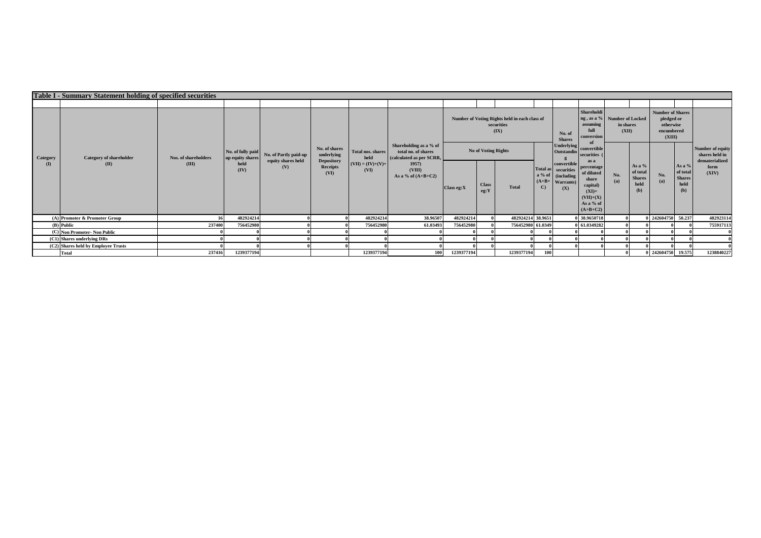|                 | <b>Table I - Summary Statement holding of specified securities</b> |                               |                                                       |                           |                                       |                                  |                                                                           |                            |                      |                                                                     |              |                                                                                     |                                                                                                            |                    |                                                      |                                                                            |                                                    |                                    |
|-----------------|--------------------------------------------------------------------|-------------------------------|-------------------------------------------------------|---------------------------|---------------------------------------|----------------------------------|---------------------------------------------------------------------------|----------------------------|----------------------|---------------------------------------------------------------------|--------------|-------------------------------------------------------------------------------------|------------------------------------------------------------------------------------------------------------|--------------------|------------------------------------------------------|----------------------------------------------------------------------------|----------------------------------------------------|------------------------------------|
|                 |                                                                    |                               |                                                       |                           |                                       |                                  |                                                                           |                            |                      |                                                                     |              |                                                                                     |                                                                                                            |                    |                                                      |                                                                            |                                                    |                                    |
|                 |                                                                    |                               |                                                       |                           |                                       |                                  |                                                                           |                            |                      | Number of Voting Rights held in each class of<br>securities<br>(IX) |              | No. of<br><b>Shares</b>                                                             | Shareholdi<br>ng, as a % Number of Locked<br>assuming<br>full<br>conversion                                | in shares<br>(XII) |                                                      | <b>Number of Shares</b><br>pledged or<br>otherwise<br>encumbered<br>(XIII) |                                                    |                                    |
| Category        | <b>Category of shareholder</b><br>(II)                             | Nos. of shareholders<br>(III) | No. of fully paid<br>up equity shares<br>held<br>(IV) | No. of Partly paid-up     | No. of shares<br>underlying           | <b>Total nos, shares</b><br>held | Shareholding as a % of<br>total no. of shares<br>(calculated as per SCRR, | <b>No of Voting Rights</b> |                      |                                                                     |              | <b>Underlying</b><br>Outstandin                                                     | convertible<br>securities                                                                                  |                    |                                                      |                                                                            |                                                    | Number of equity<br>shares held in |
| $\mathbf{I}(I)$ |                                                                    |                               |                                                       | equity shares held<br>(V) | <b>Depository</b><br>Receipts<br>(VI) | $(VII) = (IV)+(V)+$<br>(VI)      | 1957<br>(VIII)<br>As a % of $(A+B+C2)$                                    | Class eg: X                | <b>Class</b><br>eg:Y | <b>Total</b>                                                        | $\mathbf{C}$ | convertible<br>Total as securities<br>a % of (including<br>$(A+B+$ Warrants)<br>(X) | as a<br>percentage<br>of diluted<br>share<br>capital)<br>$(XI)=$<br>$(VII)+(X)$<br>As a % of<br>$(A+B+C2)$ | No.<br>(a)         | As a $%$<br>of total<br><b>Shares</b><br>held<br>(b) | No.<br>(a)                                                                 | As a %<br>of total<br><b>Shares</b><br>held<br>(b) | dematerialized<br>form<br>(XIV)    |
|                 | (A) Promoter & Promoter Group                                      | 16                            | 482924214                                             |                           |                                       | 482924214                        | 38.96507                                                                  | 482924214                  |                      | 482924214 38.9651                                                   |              |                                                                                     | 38.9650718                                                                                                 |                    |                                                      | 0 242604750 50.237                                                         |                                                    | 482923114                          |
|                 | (B) Public                                                         | 237400                        | 756452980                                             |                           |                                       | 756452980                        | 61.03493                                                                  | 756452980                  |                      | 756452980 61.0349                                                   |              |                                                                                     | 61.0349282                                                                                                 |                    |                                                      |                                                                            |                                                    | 755917113                          |
|                 | (C) Non Promoter- Non Public                                       |                               |                                                       |                           |                                       |                                  |                                                                           |                            |                      |                                                                     |              |                                                                                     |                                                                                                            |                    |                                                      |                                                                            |                                                    |                                    |
|                 | (C1) Shares underlying DRs                                         |                               |                                                       |                           |                                       |                                  |                                                                           |                            |                      |                                                                     |              |                                                                                     |                                                                                                            |                    |                                                      |                                                                            |                                                    |                                    |
|                 | (C2) Shares held by Employee Trusts                                |                               |                                                       |                           |                                       |                                  |                                                                           |                            |                      |                                                                     |              |                                                                                     |                                                                                                            |                    |                                                      |                                                                            |                                                    |                                    |
| <b>Total</b>    |                                                                    | 237416                        | 1239377194                                            |                           |                                       | 1239377194                       | 100                                                                       | 1239377194                 |                      | 1239377194                                                          | 100          |                                                                                     |                                                                                                            |                    |                                                      | 0 242604750 19.575                                                         |                                                    | 1238840227                         |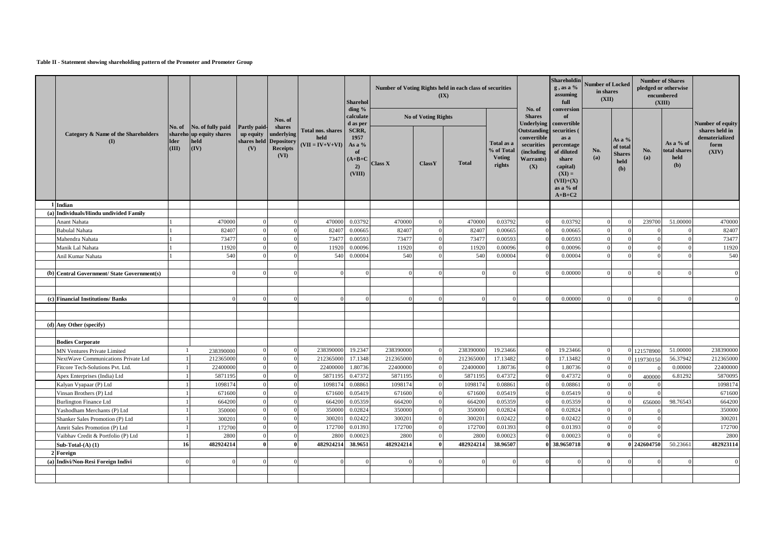### **Table II - Statement showing shareholding pattern of the Promoter and Promoter Group**

|                                            |                                |                                                               |                                  |                                                                 |                                                | <b>Sharehol</b><br>ding %                                |                |                            | Number of Voting Rights held in each class of securities<br>(IX) |                                                     | No. of                                                                            | Shareholdin<br>$g$ , as a $%$<br>assuming<br>full<br>conversion                                                           | <b>Number of Locked</b><br>in shares<br>(XII) |                                                             |                | <b>Number of Shares</b><br>pledged or otherwise<br>encumbered<br>(XIII) |                                                   |
|--------------------------------------------|--------------------------------|---------------------------------------------------------------|----------------------------------|-----------------------------------------------------------------|------------------------------------------------|----------------------------------------------------------|----------------|----------------------------|------------------------------------------------------------------|-----------------------------------------------------|-----------------------------------------------------------------------------------|---------------------------------------------------------------------------------------------------------------------------|-----------------------------------------------|-------------------------------------------------------------|----------------|-------------------------------------------------------------------------|---------------------------------------------------|
|                                            |                                |                                                               |                                  | Nos. of<br>shares                                               |                                                | calculate<br>d as per                                    |                | <b>No of Voting Rights</b> |                                                                  |                                                     | <b>Shares</b><br><b>Underlying</b>                                                | of<br>convertible                                                                                                         |                                               |                                                             |                |                                                                         | Number of equity                                  |
| Category & Name of the Shareholders<br>(I) | No. of<br><b>Ider</b><br>(III) | No. of fully paid<br>shareho up equity shares<br>held<br>(IV) | Partly paid-<br>up equity<br>(V) | underlying<br>shares held Depository<br><b>Receipts</b><br>(VI) | Total nos. shares<br>held<br>$(VII = IV+V+VI)$ | SCRR,<br>1957<br>As a %<br>of<br>$A+B+C$<br>2)<br>(VIII) | <b>Class X</b> | <b>ClassY</b>              | <b>Total</b>                                                     | Total as a<br>% of Total<br><b>Voting</b><br>rights | <b>Outstanding</b><br>convertible<br>securities<br>(including<br>Warrants)<br>(X) | securities (<br>as a<br>percentage<br>of diluted<br>share<br>capital)<br>$(XI) =$<br>$(VII)+(X)$<br>as a % of<br>$A+B+C2$ | No.<br>(a)                                    | As a %<br>of total<br><b>Shares</b><br>held<br>( <b>b</b> ) | No.<br>(a)     | As a % of<br>total shares<br>held<br>(b)                                | shares held in<br>dematerialized<br>form<br>(XIV) |
| 1 Indian                                   |                                |                                                               |                                  |                                                                 |                                                |                                                          |                |                            |                                                                  |                                                     |                                                                                   |                                                                                                                           |                                               |                                                             |                |                                                                         |                                                   |
| (a) Individuals/Hindu undivided Family     |                                |                                                               |                                  |                                                                 |                                                |                                                          |                |                            |                                                                  |                                                     |                                                                                   |                                                                                                                           |                                               |                                                             |                |                                                                         |                                                   |
| Anant Nahata                               |                                | 470000                                                        |                                  | $\Omega$                                                        | 470000                                         | 0.03792                                                  | 470000         |                            | 470000                                                           | 0.03792                                             | $\Omega$                                                                          | 0.03792                                                                                                                   | $\Omega$                                      |                                                             | 239700         | 51,00000                                                                | 470000                                            |
| <b>Babulal Nahata</b>                      |                                | 82407                                                         |                                  | $\Omega$                                                        | 8240                                           | 0.00665                                                  | 82407          |                            | 82407                                                            | 0.00665                                             |                                                                                   | 0.00665                                                                                                                   |                                               |                                                             |                |                                                                         | 82407                                             |
| Mahendra Nahata                            |                                | 73477                                                         |                                  | $\Omega$                                                        | 7347                                           | 0.00593                                                  | 73477          |                            | 73477                                                            | 0.00593                                             |                                                                                   | 0.00593                                                                                                                   |                                               |                                                             |                |                                                                         | 73477                                             |
| Manik Lal Nahata                           |                                | 11920                                                         |                                  |                                                                 | 11920                                          | 0.00096                                                  | 11920          |                            | 11920                                                            | 0.00096                                             |                                                                                   | 0.00096                                                                                                                   |                                               |                                                             |                |                                                                         | 11920                                             |
| Anil Kumar Nahata                          |                                | 540                                                           |                                  |                                                                 | 540                                            | 0.00004                                                  | 540            |                            | 540                                                              | 0.00004                                             |                                                                                   | 0.00004                                                                                                                   |                                               |                                                             |                |                                                                         | 540                                               |
|                                            |                                |                                                               |                                  |                                                                 |                                                |                                                          |                |                            |                                                                  |                                                     |                                                                                   |                                                                                                                           |                                               |                                                             |                |                                                                         |                                                   |
| (b) Central Government/State Government(s) |                                | $\Omega$                                                      | $\Omega$                         | $\Omega$                                                        | $\Omega$                                       | $\Omega$                                                 |                |                            | $\Omega$                                                         |                                                     | $\Omega$                                                                          | 0.00000                                                                                                                   | $\Omega$                                      |                                                             | $\overline{0}$ | $\Omega$                                                                | $\Omega$                                          |
|                                            |                                |                                                               |                                  |                                                                 |                                                |                                                          |                |                            |                                                                  |                                                     |                                                                                   |                                                                                                                           |                                               |                                                             |                |                                                                         |                                                   |
|                                            |                                |                                                               |                                  |                                                                 |                                                |                                                          |                |                            |                                                                  |                                                     |                                                                                   |                                                                                                                           |                                               |                                                             |                |                                                                         |                                                   |
| (c) Financial Institutions/ Banks          |                                |                                                               |                                  | $\Omega$                                                        | $\Omega$                                       | $\sqrt{ }$                                               |                |                            | $\Omega$                                                         |                                                     |                                                                                   | 0.00000                                                                                                                   |                                               |                                                             | $\Omega$       | $\Omega$                                                                |                                                   |
|                                            |                                |                                                               |                                  |                                                                 |                                                |                                                          |                |                            |                                                                  |                                                     |                                                                                   |                                                                                                                           |                                               |                                                             |                |                                                                         |                                                   |
|                                            |                                |                                                               |                                  |                                                                 |                                                |                                                          |                |                            |                                                                  |                                                     |                                                                                   |                                                                                                                           |                                               |                                                             |                |                                                                         |                                                   |
| (d) Any Other (specify)                    |                                |                                                               |                                  |                                                                 |                                                |                                                          |                |                            |                                                                  |                                                     |                                                                                   |                                                                                                                           |                                               |                                                             |                |                                                                         |                                                   |
|                                            |                                |                                                               |                                  |                                                                 |                                                |                                                          |                |                            |                                                                  |                                                     |                                                                                   |                                                                                                                           |                                               |                                                             |                |                                                                         |                                                   |
| <b>Bodies Corporate</b>                    |                                |                                                               |                                  |                                                                 |                                                |                                                          |                |                            |                                                                  |                                                     |                                                                                   |                                                                                                                           |                                               |                                                             |                |                                                                         |                                                   |
| <b>MN Ventures Private Limited</b>         | -1                             | 238390000                                                     |                                  | $\Omega$                                                        | 238390000                                      | 19.2347                                                  | 238390000      |                            | 238390000                                                        | 19.23466                                            |                                                                                   | 19.23466                                                                                                                  | $\Omega$                                      |                                                             | 121578900      | 51.00000                                                                | 238390000                                         |
| NextWave Communications Private Ltd        |                                | 212365000                                                     |                                  | $\Omega$                                                        | 212365000                                      | 17.1348                                                  | 212365000      |                            | 212365000                                                        | 17.13482                                            |                                                                                   | 17.13482                                                                                                                  | $\Omega$                                      |                                                             | 119730150      | 56.37942                                                                | 212365000                                         |
| Fitcore Tech-Solutions Pvt. Ltd.           |                                | 2240000                                                       |                                  |                                                                 | 22400000                                       | 1.80736                                                  | 2240000        |                            | 22400000                                                         | 1.80736                                             |                                                                                   | 1.80736                                                                                                                   |                                               |                                                             |                | 0.00000                                                                 | 22400000                                          |
| Apex Enterprises (India) Ltd               |                                | 5871195                                                       |                                  |                                                                 | 5871195                                        | 0.47372                                                  | 5871195        |                            | 5871195                                                          | 0.47372                                             |                                                                                   | 0.47372                                                                                                                   |                                               |                                                             | 400000         | 6.81292                                                                 | 5870095                                           |
| Kalyan Vyapaar (P) Ltd                     |                                | 1098174                                                       |                                  |                                                                 | 1098174                                        | 0.08861                                                  | 1098174        |                            | 1098174                                                          | 0.08861                                             |                                                                                   | 0.08861                                                                                                                   |                                               |                                                             |                |                                                                         | 1098174                                           |
| Vinsan Brothers (P) Ltd                    |                                | 671600                                                        | $\Omega$                         |                                                                 | 671600                                         | 0.05419                                                  | 671600         |                            | 671600                                                           | 0.05419                                             |                                                                                   | 0.05419                                                                                                                   | $\Omega$                                      |                                                             |                |                                                                         | 671600                                            |
| <b>Burlington Finance Ltd</b>              |                                | 664200                                                        | $\Omega$                         | $\Omega$                                                        | 664200                                         | 0.05359                                                  | 664200         |                            | 664200                                                           | 0.05359                                             | $\Omega$                                                                          | 0.05359                                                                                                                   | $\Omega$                                      |                                                             | 656000         | 98.76543                                                                | 664200                                            |
| Yashodham Merchants (P) Ltd                |                                | 350000                                                        |                                  | $\Omega$                                                        | 350000                                         | 0.02824                                                  | 350000         |                            | 350000                                                           | 0.02824                                             |                                                                                   | 0.02824                                                                                                                   | $\Omega$                                      |                                                             |                |                                                                         | 350000                                            |
| Shanker Sales Promotion (P) Ltd            |                                | 300201                                                        |                                  | $\Omega$                                                        | 300201                                         | 0.02422                                                  | 300201         |                            | 300201                                                           | 0.02422                                             | $\Omega$                                                                          | 0.02422                                                                                                                   | $\Omega$                                      |                                                             | $\theta$       |                                                                         | 300201                                            |
| Amrit Sales Promotion (P) Ltd              |                                | 172700                                                        |                                  | $\Omega$                                                        | 172700                                         | 0.01393                                                  | 172700         |                            | 172700                                                           | 0.01393                                             |                                                                                   | 0.01393                                                                                                                   | $\Omega$                                      |                                                             | $\Omega$       |                                                                         | 172700                                            |
| Vaibhav Credit & Portfolio (P) Ltd         |                                | 2800                                                          |                                  |                                                                 | 2800                                           | 0.00023                                                  | 2800           |                            | 2800                                                             | 0.00023                                             |                                                                                   | 0.00023                                                                                                                   |                                               |                                                             |                |                                                                         | 2800                                              |
| Sub-Total- $(A)$ $(1)$                     | 16                             | 482924214                                                     |                                  |                                                                 | 482924214                                      | 38.9651                                                  | 482924214      |                            | 482924214                                                        | 38.96507                                            |                                                                                   | 38.9650718                                                                                                                |                                               |                                                             | 0 242604750    | 50.2366                                                                 | 482923114                                         |
| 2 Foreign                                  |                                |                                                               |                                  |                                                                 |                                                |                                                          |                |                            |                                                                  |                                                     |                                                                                   |                                                                                                                           |                                               |                                                             |                |                                                                         |                                                   |
| (a) Indivi/Non-Resi Foreign Indivi         | $\Omega$                       | $\Omega$                                                      |                                  | $\Omega$                                                        | $\theta$                                       | $\Omega$                                                 |                | $\Omega$                   | $\Omega$                                                         |                                                     | $\Omega$                                                                          | $\Omega$                                                                                                                  | $\Omega$                                      |                                                             | $\overline{0}$ | $\Omega$                                                                | $\Omega$                                          |
|                                            |                                |                                                               |                                  |                                                                 |                                                |                                                          |                |                            |                                                                  |                                                     |                                                                                   |                                                                                                                           |                                               |                                                             |                |                                                                         |                                                   |
|                                            |                                |                                                               |                                  |                                                                 |                                                |                                                          |                |                            |                                                                  |                                                     |                                                                                   |                                                                                                                           |                                               |                                                             |                |                                                                         |                                                   |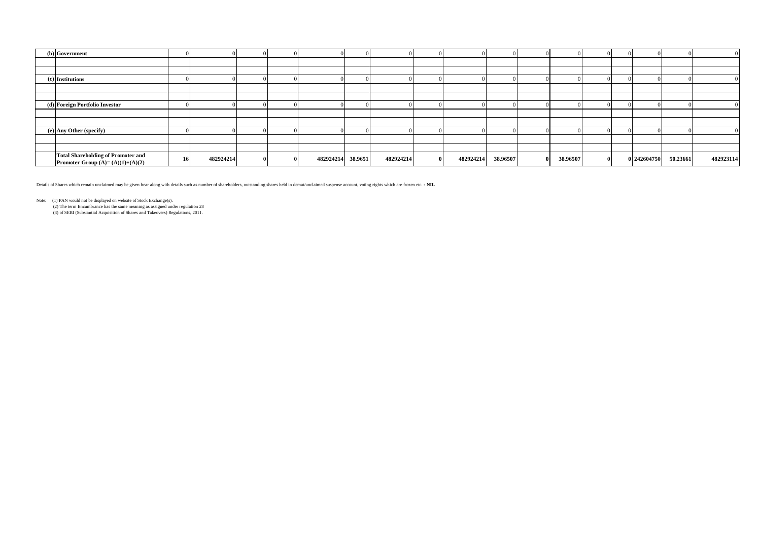| (b) Government                                                                  |           |  |                   |           |              |           |          |          |  |             |          |           |
|---------------------------------------------------------------------------------|-----------|--|-------------------|-----------|--------------|-----------|----------|----------|--|-------------|----------|-----------|
|                                                                                 |           |  |                   |           |              |           |          |          |  |             |          |           |
|                                                                                 |           |  |                   |           |              |           |          |          |  |             |          |           |
| (c) Institutions                                                                |           |  |                   |           |              |           |          |          |  |             |          |           |
|                                                                                 |           |  |                   |           |              |           |          |          |  |             |          |           |
|                                                                                 |           |  |                   |           |              |           |          |          |  |             |          |           |
| (d) Foreign Portfolio Investor                                                  |           |  |                   |           |              |           |          |          |  |             |          |           |
|                                                                                 |           |  |                   |           |              |           |          |          |  |             |          |           |
|                                                                                 |           |  |                   |           |              |           |          |          |  |             |          |           |
| (e) Any Other (specify)                                                         |           |  |                   |           |              |           |          |          |  |             |          |           |
|                                                                                 |           |  |                   |           |              |           |          |          |  |             |          |           |
|                                                                                 |           |  |                   |           |              |           |          |          |  |             |          |           |
| <b>Total Shareholding of Promoter and</b><br>Promoter Group $(A)=(A)(1)+(A)(2)$ | 482924214 |  | 482924214 38.9651 | 482924214 | $\mathbf{0}$ | 482924214 | 38.96507 | 38.96507 |  | 0 242604750 | 50.23661 | 482923114 |

Details of Shares which remain unclaimed may be given hear along with details such as number of shareholders, outstanding shares held in demat/unclaimed suspense account, voting rights which are frozen etc. : **NIL**

Note: (1) PAN would not be displayed on website of Stock Exchange(s).<br>(2) The term Encumbrance has the same meaning as assigned under regulation 28<br>(3) of SEBI (Substantial Acquisition of Shares and Takeovers) Regulations,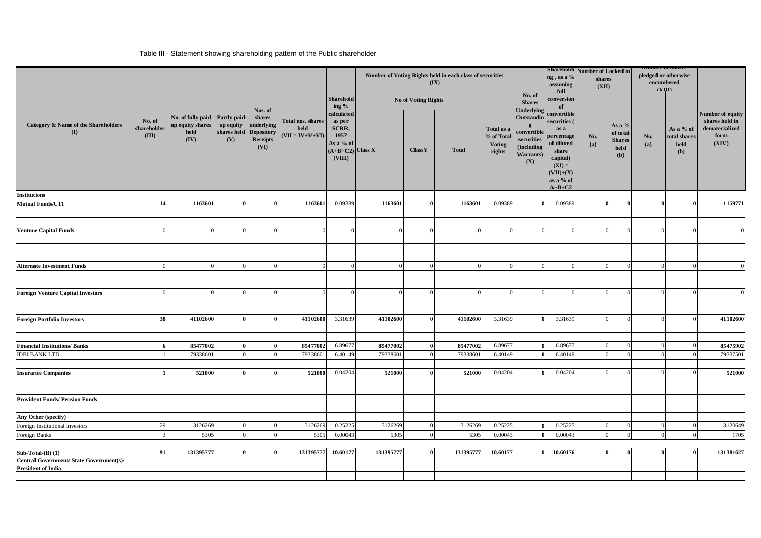# Table III - Statement showing shareholding pattern of the Public shareholder

|                                                                       |                                |                                                                    |                                 |                                                                      |                                                |                                                                                    |           |                     |              |                                                     |                                                                                                 |                                                                                                                                        |            | Number of Voting Rights held in each class of securities<br>$(\mathbf{IX})$ |              |                                          | ng, as a %<br>assuming<br>full                                                | Shareholdi Number of Locked in<br>shares<br>(XII) |  |  | <b>Number of Shares</b><br>pledged or otherwise<br>encumbered<br>$\alpha$ III |  |
|-----------------------------------------------------------------------|--------------------------------|--------------------------------------------------------------------|---------------------------------|----------------------------------------------------------------------|------------------------------------------------|------------------------------------------------------------------------------------|-----------|---------------------|--------------|-----------------------------------------------------|-------------------------------------------------------------------------------------------------|----------------------------------------------------------------------------------------------------------------------------------------|------------|-----------------------------------------------------------------------------|--------------|------------------------------------------|-------------------------------------------------------------------------------|---------------------------------------------------|--|--|-------------------------------------------------------------------------------|--|
|                                                                       |                                |                                                                    |                                 | Nos. of                                                              | Total nos. shares<br>held<br>$(VII = IV+V+VI)$ | <b>Sharehold</b><br>ing $%$                                                        |           | No of Voting Rights |              |                                                     | No. of<br><b>Shares</b>                                                                         | conversion<br>of                                                                                                                       |            |                                                                             |              |                                          |                                                                               |                                                   |  |  |                                                                               |  |
| Category & Name of the Shareholders<br>$\mathbf{I}$                   | No. of<br>shareholder<br>(III) | No. of fully paid Partly paid-<br>up equity shares<br>held<br>(IV) | up equity<br>shares held<br>(V) | shares<br>underlying<br><b>Depository</b><br><b>Receipts</b><br>(VI) |                                                | calculated<br>as per<br>SCRR,<br>1957<br>As a % of<br>$(A+B+C2)$ Class X<br>(VIII) |           | ClassY              | <b>Total</b> | Total as a<br>% of Total<br><b>Voting</b><br>rights | Underlying<br>Outstandin<br>convertible<br>securities<br>(including<br><b>Warrants</b> )<br>(X) | convertible<br>securities<br>as a<br>percentage<br>of diluted<br>share<br>capital)<br>$(XI) =$<br>$(VII)+(X)$<br>as a % of<br>$A+B+C2$ | No.<br>(a) | As a %<br>of total<br><b>Shares</b><br>held<br>(b)                          | No.<br>(a)   | As a % of<br>total shares<br>held<br>(b) | Number of equity<br>shares held in<br>${\bf dematerialized}$<br>form<br>(XIV) |                                                   |  |  |                                                                               |  |
| <b>Institutions</b>                                                   |                                |                                                                    |                                 |                                                                      |                                                |                                                                                    |           |                     |              |                                                     |                                                                                                 |                                                                                                                                        |            |                                                                             |              |                                          |                                                                               |                                                   |  |  |                                                                               |  |
| <b>Mutual Funds/UTI</b>                                               | 14                             | 1163601                                                            |                                 | $\Omega$                                                             | 1163601                                        | 0.09389                                                                            | 1163601   | $\mathbf{0}$        | 1163601      | 0.09389                                             |                                                                                                 | 0.09389                                                                                                                                | $\theta$   |                                                                             | $\mathbf{0}$ |                                          | 1159771                                                                       |                                                   |  |  |                                                                               |  |
| <b>Venture Capital Funds</b>                                          | $\sqrt{ }$                     | $\Omega$                                                           | $\Omega$                        | $\Omega$                                                             |                                                | $\Omega$                                                                           |           | $\Omega$            | $\Omega$     |                                                     | $\Omega$                                                                                        |                                                                                                                                        | $\Omega$   |                                                                             | $\sqrt{ }$   | $\Omega$                                 |                                                                               |                                                   |  |  |                                                                               |  |
|                                                                       |                                |                                                                    |                                 |                                                                      |                                                |                                                                                    |           |                     |              |                                                     |                                                                                                 |                                                                                                                                        |            |                                                                             |              |                                          |                                                                               |                                                   |  |  |                                                                               |  |
| <b>Alternate Investment Funds</b>                                     | $\sqrt{ }$                     | $\Omega$                                                           | $\Omega$                        | $\Omega$                                                             |                                                | $\Omega$                                                                           |           | $\Omega$            |              |                                                     | $\Omega$                                                                                        |                                                                                                                                        |            |                                                                             | $\Omega$     | $\Omega$                                 |                                                                               |                                                   |  |  |                                                                               |  |
| <b>Foreign Venture Capital Investors</b>                              | ſ                              | $\Omega$                                                           |                                 | $\Omega$                                                             |                                                | $\Omega$                                                                           |           | $^{\circ}$          | $\Omega$     |                                                     | $\Omega$                                                                                        |                                                                                                                                        |            | $\sqrt{ }$                                                                  | $\sqrt{ }$   | $\Omega$                                 |                                                                               |                                                   |  |  |                                                                               |  |
| <b>Foreign Portfolio Investors</b>                                    | 38                             | 41102600                                                           | $\theta$                        | $\theta$                                                             | 41102600                                       | 3.31639                                                                            | 41102600  | $\theta$            | 41102600     | 3.31639                                             | -0                                                                                              | 3.31639                                                                                                                                |            |                                                                             | $\sqrt{ }$   | $\Omega$                                 | 41102600                                                                      |                                                   |  |  |                                                                               |  |
| <b>Financial Institutions/Banks</b>                                   | 6                              | 85477002                                                           | $\mathbf{0}$                    | $\theta$                                                             | 85477002                                       | 6.89677                                                                            | 85477002  | $\bf{0}$            | 85477002     | 6.89677                                             |                                                                                                 | 6.89677                                                                                                                                | $\Omega$   | $\sqrt{ }$                                                                  | $\Omega$     | $\Omega$                                 | 85475902                                                                      |                                                   |  |  |                                                                               |  |
| <b>IDBI BANK LTD.</b>                                                 |                                | 79338601                                                           | $\Omega$                        | $\Omega$                                                             | 79338601                                       | 6.40149                                                                            | 79338601  | $\Omega$            | 79338601     | 6.40149                                             |                                                                                                 | 6.40149                                                                                                                                | $\Omega$   |                                                                             | $\Omega$     | $\Omega$                                 | 79337501                                                                      |                                                   |  |  |                                                                               |  |
| <b>Insurance Companies</b>                                            |                                | 521000                                                             | $\theta$                        |                                                                      | 521000                                         | 0.04204                                                                            | 521000    |                     | 521000       | 0.04204                                             |                                                                                                 | 0.04204                                                                                                                                |            |                                                                             |              |                                          | 521000                                                                        |                                                   |  |  |                                                                               |  |
|                                                                       |                                |                                                                    |                                 |                                                                      |                                                |                                                                                    |           |                     |              |                                                     |                                                                                                 |                                                                                                                                        |            |                                                                             |              |                                          |                                                                               |                                                   |  |  |                                                                               |  |
| <b>Provident Funds/ Pension Funds</b>                                 |                                |                                                                    |                                 |                                                                      |                                                |                                                                                    |           |                     |              |                                                     |                                                                                                 |                                                                                                                                        |            |                                                                             |              |                                          |                                                                               |                                                   |  |  |                                                                               |  |
| Any Other (specify)                                                   |                                |                                                                    |                                 |                                                                      |                                                |                                                                                    |           |                     |              |                                                     |                                                                                                 |                                                                                                                                        |            |                                                                             |              |                                          |                                                                               |                                                   |  |  |                                                                               |  |
| Foreign Institutional Investors                                       | 29                             | 3126269                                                            | $\Omega$                        | $\Omega$                                                             | 3126269                                        | 0.25225                                                                            | 3126269   | $\Omega$            | 3126269      | 0.25225                                             | $\mathbf{0}$                                                                                    | 0.25225                                                                                                                                | $\Omega$   |                                                                             | $\Omega$     | $\Omega$                                 | 3120649                                                                       |                                                   |  |  |                                                                               |  |
| Foreign Banks                                                         | $\overline{3}$                 | 5305                                                               | $\Omega$                        | $\theta$                                                             | 5305                                           | 0.00043                                                                            | 5305      | $\overline{0}$      | 5305         | 0.00043                                             | $\bf{0}$                                                                                        | 0.00043                                                                                                                                | $\Omega$   |                                                                             | $\Omega$     | $\Omega$                                 | 1705                                                                          |                                                   |  |  |                                                                               |  |
| Sub-Total $(B)$ $(1)$                                                 | 91                             | 131395777                                                          | $\mathbf{0}$                    | $\Omega$                                                             | 131395777                                      | 10.60177                                                                           | 131395777 | $\theta$            | 131395777    | 10.60177                                            | $\mathbf{0}$                                                                                    | 10.60176                                                                                                                               | $\bf{0}$   |                                                                             | $\theta$     | $\bf{0}$                                 | 131381627                                                                     |                                                   |  |  |                                                                               |  |
| Central Government/ State Government(s)/<br><b>President of India</b> |                                |                                                                    |                                 |                                                                      |                                                |                                                                                    |           |                     |              |                                                     |                                                                                                 |                                                                                                                                        |            |                                                                             |              |                                          |                                                                               |                                                   |  |  |                                                                               |  |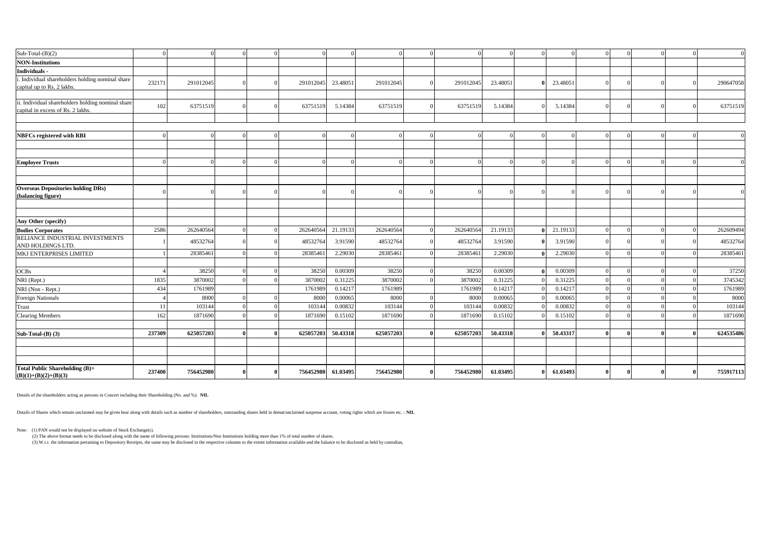| $Sub-Total-(B)(2)$                                              | $\sqrt{ }$ |           |  | $\Omega$  | $\Omega$ |           | $\Omega$  |          | $\Omega$ |          |  | $\Omega$     | $\Omega$ | $\overline{0}$ |
|-----------------------------------------------------------------|------------|-----------|--|-----------|----------|-----------|-----------|----------|----------|----------|--|--------------|----------|----------------|
| <b>NON-Institutions</b>                                         |            |           |  |           |          |           |           |          |          |          |  |              |          |                |
| <b>Individuals</b>                                              |            |           |  |           |          |           |           |          |          |          |  |              |          |                |
| . Individual shareholders holding nominal share                 | 232171     | 291012045 |  | 291012045 | 23.48051 | 291012045 | 291012045 | 23,48051 | $\theta$ | 23.48051 |  |              |          | 290647058      |
| capital up to Rs. 2 lakhs.                                      |            |           |  |           |          |           |           |          |          |          |  |              |          |                |
| ii. Individual shareholders holding nominal share               |            |           |  |           |          |           |           |          |          |          |  |              |          |                |
| capital in excess of Rs. 2 lakhs.                               | 102        | 63751519  |  | 63751519  | 5.14384  | 63751519  | 63751519  | 5.14384  |          | 5.14384  |  |              |          | 63751519       |
|                                                                 |            |           |  |           |          |           |           |          |          |          |  |              |          |                |
|                                                                 |            |           |  |           |          |           |           |          |          |          |  |              |          |                |
| <b>NBFCs registered with RBI</b>                                |            | O         |  |           | $\Omega$ | $\Omega$  | $\Omega$  |          | $\Omega$ |          |  |              | $\Omega$ | $\Omega$       |
|                                                                 |            |           |  |           |          |           |           |          |          |          |  |              |          |                |
|                                                                 |            |           |  |           |          |           |           |          |          |          |  |              |          |                |
| <b>Employee Trusts</b>                                          |            |           |  |           | $\Omega$ |           | $\Omega$  |          |          |          |  |              | $\Omega$ | $\Omega$       |
|                                                                 |            |           |  |           |          |           |           |          |          |          |  |              |          |                |
|                                                                 |            |           |  |           |          |           |           |          |          |          |  |              |          |                |
| <b>Overseas Depositories holding DRs)</b>                       |            |           |  |           |          |           |           |          |          |          |  |              |          | $\overline{0}$ |
| (balancing figure)                                              |            |           |  |           |          |           |           |          |          |          |  |              |          |                |
|                                                                 |            |           |  |           |          |           |           |          |          |          |  |              |          |                |
|                                                                 |            |           |  |           |          |           |           |          |          |          |  |              |          |                |
| Any Other (specify)                                             |            |           |  |           |          |           |           |          |          |          |  |              |          |                |
| <b>Bodies Corporates</b><br>RELIANCE INDUSTRIAL INVESTMENTS     | 2586       | 262640564 |  | 262640564 | 21.19133 | 262640564 | 262640564 | 21.19133 |          | 21.19133 |  |              |          | 262609494      |
| AND HOLDINGS LTD.                                               |            | 48532764  |  | 48532764  | 3.91590  | 48532764  | 48532764  | 3.91590  |          | 3.91590  |  |              |          | 48532764       |
| MKJ ENTERPRISES LIMITED                                         |            | 28385461  |  | 28385461  | 2.29030  | 28385461  | 28385461  | 2.29030  |          | 2.29030  |  |              |          | 28385461       |
|                                                                 |            |           |  |           |          |           |           |          |          |          |  |              |          |                |
| <b>OCBs</b>                                                     |            | 38250     |  | 38250     | 0.00309  | 38250     | 38250     | 0.00309  |          | 0.00309  |  | $\Omega$     | $\Omega$ | 37250          |
| NRI (Rept.)                                                     | 1835       | 3870002   |  | 3870002   | 0.31225  | 3870002   | 3870002   | 0.31225  |          | 0.31225  |  | $\Omega$     | $\Omega$ | 3745342        |
| NRI (Non - Rept.)                                               | 434        | 1761989   |  | 1761989   | 0.14217  | 1761989   | 1761989   | 0.1421'  |          | 0.14217  |  |              |          | 1761989        |
| <b>Foreign Nationals</b>                                        |            | 8000      |  | 8000      | 0.00065  | 8000      | 8000      | 0.0006   |          | 0.00065  |  |              | $\Omega$ | 8000           |
| Trust                                                           | 11         | 103144    |  | 103144    | 0.00832  | 103144    | 103144    | 0.00832  |          | 0.00832  |  | $\Omega$     | $\Omega$ | 103144         |
| <b>Clearing Members</b>                                         | 162        | 1871690   |  | 1871690   | 0.15102  | 1871690   | 1871690   | 0.15102  |          | 0.15102  |  | $\Omega$     |          | 1871690        |
|                                                                 |            |           |  |           |          |           |           |          |          |          |  |              |          |                |
| Sub-Total-(B) (3)                                               | 237309     | 625057203 |  | 625057203 | 50.43318 | 625057203 | 625057203 | 50.43318 |          | 50.43317 |  | $\mathbf{v}$ |          | 624535486      |
|                                                                 |            |           |  |           |          |           |           |          |          |          |  |              |          |                |
|                                                                 |            |           |  |           |          |           |           |          |          |          |  |              |          |                |
|                                                                 |            |           |  |           |          |           |           |          |          |          |  |              |          |                |
| <b>Total Public Shareholding (B)=</b><br>$(B)(1)+(B)(2)+(B)(3)$ | 237400     | 756452980 |  | 756452980 | 61.03495 | 756452980 | 756452980 | 61.03495 |          | 61.03493 |  |              |          | 755917113      |

Details of the shareholders acting as persons in Concert including their Shareholding (No. and %): **NIL**

Details of Shares which remain unclaimed may be given hear along with details such as number of shareholders, outstanding shares held in demat/unclaimed suspense account, voting rights which are frozen etc. : **NIL**

Note: (1) PAN would not be displayed on website of Stock Exchange(s).

(2) The above format needs to be disclosed along with the name of following persons: Institutions/Non Institutions holding more than 1% of total number of shares.<br>(3) W.r.t. the information pertaining to Depository Receipt